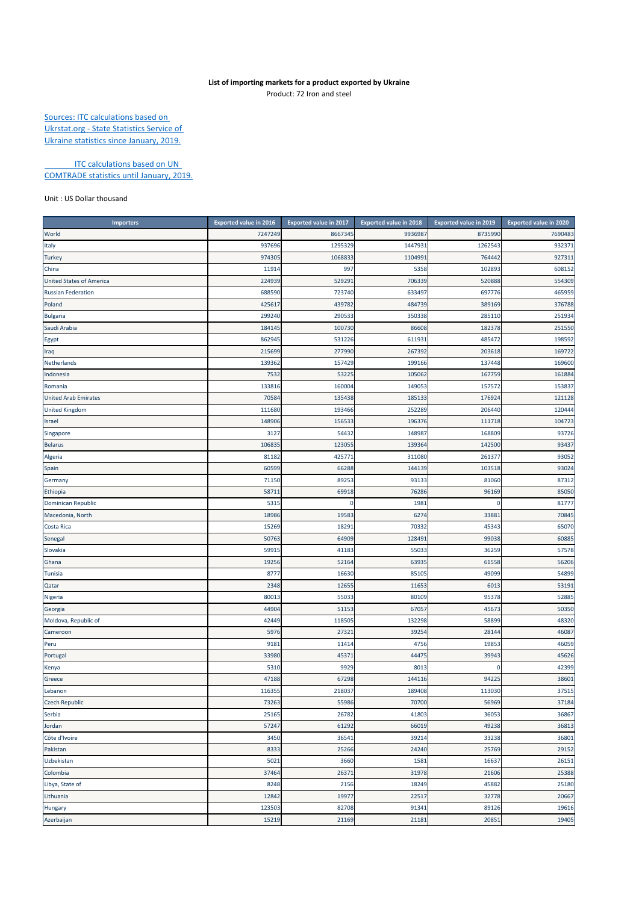## **List of importing markets for a product exported by Ukraine** Product: 72 Iron and steel

Sources: ITC calculations based on Ukrstat.org ‐ State Statistics Service of Ukraine statistics since January, 2019.

**ITC calculations based on UN** COMTRADE statistics until January, 2019.

Unit : US Dollar thousand

| <b>Importers</b>                | <b>Exported value in 2016</b> | <b>Exported value in 2017</b> | <b>Exported value in 2018</b> | Exported value in 2019 | <b>Exported value in 2020</b> |
|---------------------------------|-------------------------------|-------------------------------|-------------------------------|------------------------|-------------------------------|
| World                           | 7247249                       | 8667345                       | 9936987                       | 8735990                | 7690483                       |
| Italy                           | 937696                        | 1295329                       | 1447931                       | 1262543                | 932371                        |
| <b>Turkey</b>                   | 974305                        | 1068833                       | 1104991                       | 764442                 | 927311                        |
| China                           | 1191                          | 997                           | 5358                          | 102893                 | 608152                        |
| <b>United States of America</b> | 224939                        | 529291                        | 706339                        | 520888                 | 554309                        |
| <b>Russian Federation</b>       | 688590                        | 723740                        | 633497                        | 697776                 | 465959                        |
| Poland                          | 425617                        | 439782                        | 484739                        | 389169                 | 376788                        |
| <b>Bulgaria</b>                 | 299240                        | 290533                        | 350338                        | 285110                 | 251934                        |
| Saudi Arabia                    | 18414                         | 100730                        | 86608                         | 182378                 | 251550                        |
| Egypt                           | 862945                        | 531226                        | 611931                        | 485472                 | 198592                        |
| Iraq                            | 215699                        | 277990                        | 267392                        | 203618                 | 169722                        |
| Netherlands                     | 13936                         | 157429                        | 199166                        | 137448                 | 169600                        |
| Indonesia                       | 7532                          | 53225                         | 105062                        | 167759                 | 161884                        |
| Romania                         | 133816                        | 160004                        | 149053                        | 157572                 | 153837                        |
| <b>United Arab Emirates</b>     | 7058                          | 135438                        | 185133                        | 176924                 | 121128                        |
| <b>United Kingdom</b>           | 111680                        | 193466                        | 252289                        | 206440                 | 120444                        |
| Israel                          | 148906                        | 156533                        | 196376                        | 111718                 | 104723                        |
| Singapore                       | 3127                          | 54432                         | 148987                        | 168809                 | 93726                         |
| <b>Belarus</b>                  | 106835                        | 123055                        | 139364                        | 142500                 | 93437                         |
| Algeria                         | 81182                         | 425771                        | 311080                        | 261377                 | 93052                         |
| Spain                           | 60599                         | 66288                         | 144139                        | 103518                 | 93024                         |
| Germany                         | 71150                         | 89253                         | 93133                         | 81060                  | 87312                         |
| Ethiopia                        | 5871                          | 69918                         | 76286                         | 96169                  | 85050                         |
| Dominican Republic              | 531                           | 0                             | 1981                          | O                      | 81777                         |
| Macedonia, North                | 18986                         | 19583                         | 6274                          | 33883                  | 70845                         |
| Costa Rica                      | 15269                         | 18291                         | 70332                         | 45343                  | 65070                         |
| Senegal                         | 50763                         | 64909                         | 128491                        | 99038                  | 60885                         |
| Slovakia                        | 5991                          | 41183                         | 55033                         | 36259                  | 57578                         |
| Ghana                           | 19256                         | 52164                         | 63935                         | 61558                  | 56206                         |
| Tunisia                         | 8777                          | 16630                         | 85105                         | 49099                  | 54899                         |
| Qatar                           | 2348                          | 12655                         | 11653                         | 601                    | 53191                         |
| Nigeria                         | 80013                         | 55033                         | 80109                         | 95378                  | 52885                         |
| Georgia                         | 4490                          | 51153                         | 67057                         | 45673                  | 50350                         |
| Moldova, Republic of            | 42449                         | 118505                        | 132298                        | 58899                  | 48320                         |
| Cameroon                        | 5976                          | 27321                         | 39254                         | 28144                  | 46087                         |
| Peru                            | 9181                          | 11414                         | 4756                          | 19853                  | 46059                         |
| Portugal                        | 33980                         | 45371                         | 44475                         | 39943                  | 45626                         |
| Kenya                           | 5310                          | 9929                          | 8013                          | O                      | 42399                         |
| Greece                          | 47188                         | 67298                         | 144116                        | 94225                  | 38601                         |
| Lebanon                         | 116355                        | 218037                        | 189408                        | 113030                 | 37515                         |
| <b>Czech Republic</b>           | 73263                         | 55986                         | 70700                         | 56969                  | 37184                         |
| Serbia                          | 25165                         | 26782                         | 41803                         | 36053                  | 36867                         |
| Jordan                          | 57247                         | 61292                         | 66019                         | 49238                  | 36813                         |
| Côte d'Ivoire                   | 3450                          | 36541                         | 39214                         | 33238                  | 36801                         |
| Pakistan                        | 8333                          | 25266                         | 24240                         | 25769                  | 29152                         |
| Uzbekistan                      | 5021                          | 3660                          | 1581                          | 16637                  | 26151                         |
| Colombia                        | 37464                         | 26371                         | 31978                         | 21606                  | 25388                         |
| Libya, State of                 | 8248                          | 2156                          | 18249                         | 45882                  | 25180                         |
| Lithuania                       | 12842                         | 19977                         | 22517                         | 32778                  | 20667                         |
| Hungary                         | 123503                        | 82708                         | 91341                         | 89126                  | 19616                         |
| Azerbaijan                      | 15219                         | 21169                         | 21181                         | 20851                  | 19405                         |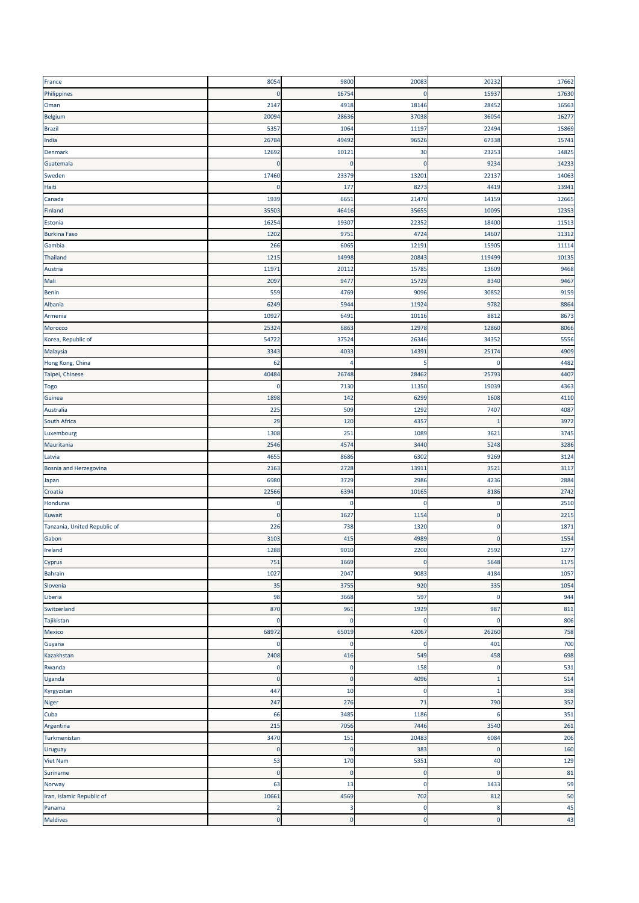| France                       | 8054        | 9800           | 20083        | 20232        | 17662 |
|------------------------------|-------------|----------------|--------------|--------------|-------|
| Philippines                  | $\mathbf 0$ | 16754          | $\mathbf{0}$ | 15937        | 17630 |
| Oman                         | 2147        | 4918           | 18146        | 28452        | 16563 |
| Belgium                      | 2009        | 28636          | 37038        | 36054        | 16277 |
| <b>Brazil</b>                | 535         | 1064           | 11197        | 22494        | 15869 |
| India                        | 2678        | 49492          | 96526        | 67338        | 15741 |
| Denmark                      | 1269        | 10121          | 30           | 23253        | 14825 |
|                              | $\Omega$    | $\mathbf 0$    | $\Omega$     | 9234         | 14233 |
| Guatemala                    |             |                |              |              |       |
| Sweden                       | 17460       | 23379          | 1320         | 22137        | 14063 |
| Haiti                        | 0           | 177            | 8273         | 4419         | 13941 |
| Canada                       | 1939        | 6651           | 21470        | 14159        | 12665 |
| Finland                      | 3550        | 46416          | 35655        | 10095        | 12353 |
| Estonia                      | 1625        | 19307          | 22352        | 18400        | 11513 |
| <b>Burkina Faso</b>          | 1202        | 9751           | 4724         | 14607        | 11312 |
| Gambia                       | 266         | 6065           | 12191        | 15905        | 11114 |
| Thailand                     | 121         | 14998          | 20843        | 119499       | 10135 |
| Austria                      | 1197        | 20112          | 15785        | 13609        | 9468  |
| Mali                         | 209         | 9477           | 15729        | 8340         | 9467  |
| Benin                        | 559         | 4769           | 9096         | 30852        | 9159  |
| Albania                      | 6249        | 5944           | 11924        | 9782         | 8864  |
| Armenia                      | 1092        | 6491           | 10116        | 8812         | 8673  |
| Morocco                      | 2532        | 6863           | 12978        | 12860        | 8066  |
| Korea, Republic of           | 54722       | 37524          | 26346        | 34352        | 5556  |
| Malaysia                     | 3343        | 4033           | 14391        | 25174        | 4909  |
|                              | 62          | 4              | 5            | O            | 4482  |
| Hong Kong, China             |             |                |              |              |       |
| Taipei, Chinese              | 4048        | 26748          | 28462        | 25793        | 4407  |
| <b>Togo</b>                  | $\Omega$    | 7130           | 11350        | 19039        | 4363  |
| Guinea                       | 1898        | 142            | 6299         | 1608         | 4110  |
| Australia                    | 225         | 509            | 1292         | 7407         | 4087  |
| South Africa                 | 29          | 120            | 4357         | п            | 3972  |
| Luxembourg                   | 1308        | 251            | 1089         | 3621         | 3745  |
| Mauritania                   | 2546        | 4574           | 3440         | 5248         | 3286  |
| Latvia                       | 4655        | 8686           | 6302         | 9269         | 3124  |
| Bosnia and Herzegovina       | 2163        | 2728           | 13911        | 3521         | 3117  |
| Japan                        | 6980        | 3729           | 2986         | 4236         | 2884  |
| Croatia                      | 22566       | 6394           | 10165        | 8186         | 2742  |
| Honduras                     | $\mathbf 0$ | $\mathbf 0$    | $\mathbf 0$  | $\mathbf 0$  | 2510  |
| Kuwait                       | $\mathbf 0$ | 1627           | 1154         | O            | 2215  |
| Tanzania, United Republic of | 226         | 738            | 1320         | 0            | 1871  |
| Gabon                        | 3103        | 415            | 4989         | $\mathbf{0}$ | 1554  |
| Ireland                      | 1288        | 9010           | 2200         | 2592         | 1277  |
| Cyprus                       | 751         | 1669           | $\pmb{0}$    | 5648         | 1175  |
| <b>Bahrain</b>               | 1027        | 2047           | 9083         | 4184         | 1057  |
|                              |             |                |              |              |       |
| Slovenia                     | 35          | 3755           | 920          | 335          | 1054  |
| Liberia                      | 98          | 3668           | 597          | $\mathbf 0$  | 944   |
| Switzerland                  | 870         | 961            | 1929         | 987          | 811   |
| Tajikistan                   | $\mathbf 0$ | $\mathbf 0$    | $\mathbf 0$  | $\mathbf 0$  | 806   |
| Mexico                       | 68972       | 65019          | 42067        | 26260        | 758   |
| Guyana                       | 0           | O              | C            | 401          | 700   |
| Kazakhstan                   | 2408        | 416            | 549          | 458          | 698   |
| Rwanda                       | $\mathbf 0$ | $\mathbf 0$    | 158          | $\mathbf 0$  | 531   |
| Uganda                       | $\mathbf 0$ | O              | 4096         | 1            | 514   |
| Kyrgyzstan                   | 447         | 10             | 0            | 1            | 358   |
| Niger                        | 247         | 276            | 71           | 790          | 352   |
| Cuba                         | 66          | 3485           | 1186         | 6            | 351   |
| Argentina                    | 215         | 7056           | 7446         | 3540         | 261   |
| Turkmenistan                 | 3470        | 151            | 20483        | 6084         | 206   |
| Uruguay                      | $\mathbf 0$ | $\mathbf 0$    | 383          | $\mathbf 0$  | 160   |
| <b>Viet Nam</b>              | 53          | 170            | 5351         | 40           | 129   |
| Suriname                     | $\mathbf 0$ | $\overline{0}$ | $\mathbf{0}$ | $\mathbf 0$  | 81    |
|                              |             |                | $\mathbf 0$  |              |       |
| Norway                       | 63          | 13             |              | 1433         | 59    |
| Iran, Islamic Republic of    | 10661       | 4569           | 702          | 812          | 50    |
| Panama                       | 2           | 3              | 0            | 8            | 45    |
| Maldives                     | $\mathbf 0$ | $\overline{0}$ | $\mathbf 0$  | $\mathbf 0$  | 43    |